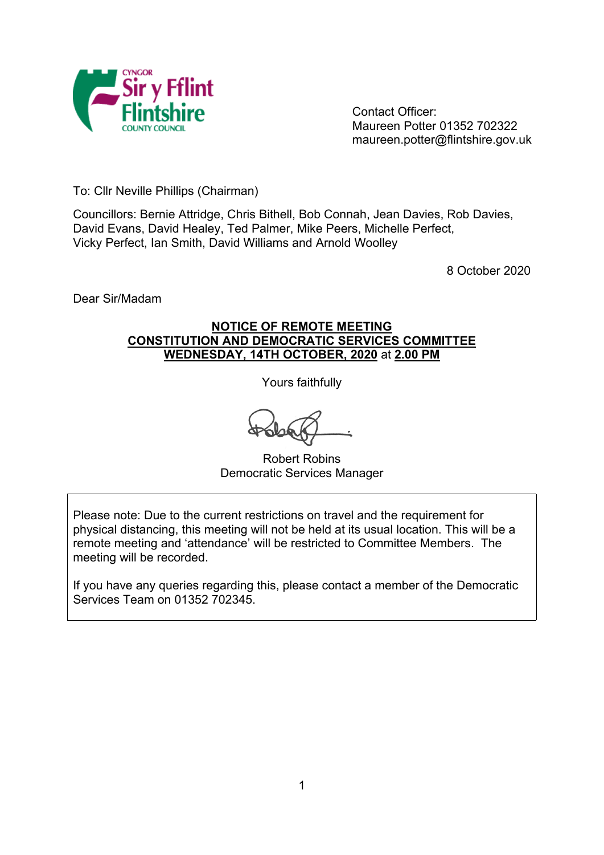

Contact Officer: Maureen Potter 01352 702322 maureen.potter@flintshire.gov.uk

To: Cllr Neville Phillips (Chairman)

Councillors: Bernie Attridge, Chris Bithell, Bob Connah, Jean Davies, Rob Davies, David Evans, David Healey, Ted Palmer, Mike Peers, Michelle Perfect, Vicky Perfect, Ian Smith, David Williams and Arnold Woolley

8 October 2020

Dear Sir/Madam

# **NOTICE OF REMOTE MEETING CONSTITUTION AND DEMOCRATIC SERVICES COMMITTEE WEDNESDAY, 14TH OCTOBER, 2020** at **2.00 PM**

Yours faithfully

Robert Robins Democratic Services Manager

Please note: Due to the current restrictions on travel and the requirement for physical distancing, this meeting will not be held at its usual location. This will be a remote meeting and 'attendance' will be restricted to Committee Members. The meeting will be recorded.

If you have any queries regarding this, please contact a member of the Democratic Services Team on 01352 702345.